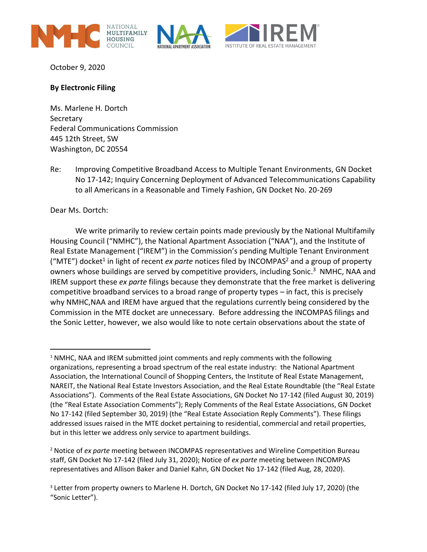





October 9, 2020

## **By Electronic Filing**

Ms. Marlene H. Dortch **Secretary** Federal Communications Commission 445 12th Street, SW Washington, DC 20554

Re: Improving Competitive Broadband Access to Multiple Tenant Environments, GN Docket No 17-142; Inquiry Concerning Deployment of Advanced Telecommunications Capability to all Americans in a Reasonable and Timely Fashion, GN Docket No. 20-269

Dear Ms. Dortch:

We write primarily to review certain points made previously by the National Multifamily Housing Council ("NMHC"), the National Apartment Association ("NAA"), and the Institute of Real Estate Management ("IREM") in the Commission's pending Multiple Tenant Environment ("MTE") docket<sup>1</sup> in light of recent ex parte notices filed by INCOMPAS<sup>2</sup> and a group of property owners whose buildings are served by competitive providers, including Sonic.<sup>3</sup> NMHC, NAA and IREM support these *ex parte* filings because they demonstrate that the free market is delivering competitive broadband services to a broad range of property types – in fact, this is precisely why NMHC,NAA and IREM have argued that the regulations currently being considered by the Commission in the MTE docket are unnecessary. Before addressing the INCOMPAS filings and the Sonic Letter, however, we also would like to note certain observations about the state of

 $1$  NMHC, NAA and IREM submitted joint comments and reply comments with the following organizations, representing a broad spectrum of the real estate industry: the National Apartment Association, the International Council of Shopping Centers, the Institute of Real Estate Management, NAREIT, the National Real Estate Investors Association, and the Real Estate Roundtable (the "Real Estate Associations"). Comments of the Real Estate Associations, GN Docket No 17-142 (filed August 30, 2019) (the "Real Estate Association Comments"); Reply Comments of the Real Estate Associations, GN Docket No 17-142 (filed September 30, 2019) (the "Real Estate Association Reply Comments"). These filings addressed issues raised in the MTE docket pertaining to residential, commercial and retail properties, but in this letter we address only service to apartment buildings.

<sup>2</sup> Notice of *ex parte* meeting between INCOMPAS representatives and Wireline Competition Bureau staff, GN Docket No 17-142 (filed July 31, 2020); Notice of *ex parte* meeting between INCOMPAS representatives and Allison Baker and Daniel Kahn, GN Docket No 17-142 (filed Aug, 28, 2020).

<sup>&</sup>lt;sup>3</sup> Letter from property owners to Marlene H. Dortch, GN Docket No 17-142 (filed July 17, 2020) (the "Sonic Letter").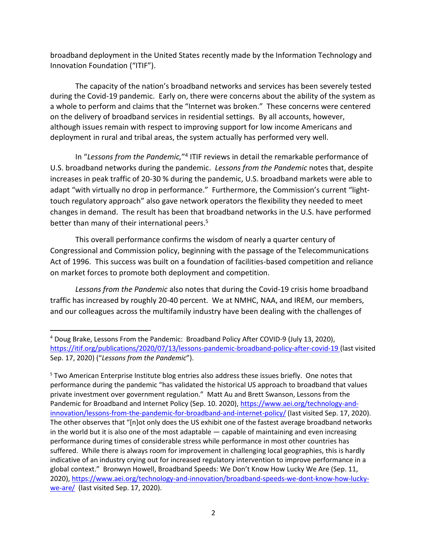broadband deployment in the United States recently made by the Information Technology and Innovation Foundation ("ITIF").

The capacity of the nation's broadband networks and services has been severely tested during the Covid-19 pandemic. Early on, there were concerns about the ability of the system as a whole to perform and claims that the "Internet was broken." These concerns were centered on the delivery of broadband services in residential settings. By all accounts, however, although issues remain with respect to improving support for low income Americans and deployment in rural and tribal areas, the system actually has performed very well.

In "Lessons from the Pandemic,"<sup>4</sup> ITIF reviews in detail the remarkable performance of U.S. broadband networks during the pandemic. *Lessons from the Pandemic* notes that, despite increases in peak traffic of 20-30 % during the pandemic, U.S. broadband markets were able to adapt "with virtually no drop in performance." Furthermore, the Commission's current "lighttouch regulatory approach" also gave network operators the flexibility they needed to meet changes in demand. The result has been that broadband networks in the U.S. have performed better than many of their international peers.<sup>5</sup>

This overall performance confirms the wisdom of nearly a quarter century of Congressional and Commission policy, beginning with the passage of the Telecommunications Act of 1996. This success was built on a foundation of facilities-based competition and reliance on market forces to promote both deployment and competition.

*Lessons from the Pandemic* also notes that during the Covid-19 crisis home broadband traffic has increased by roughly 20-40 percent. We at NMHC, NAA, and IREM, our members, and our colleagues across the multifamily industry have been dealing with the challenges of

<sup>4</sup> Doug Brake, Lessons From the Pandemic: Broadband Policy After COVID-9 (July 13, 2020), <https://itif.org/publications/2020/07/13/lessons-pandemic-broadband-policy-after-covid-19> (last visited Sep. 17, 2020) ("*Lessons from the Pandemic*").

<sup>5</sup> Two American Enterprise Institute blog entries also address these issues briefly. One notes that performance during the pandemic "has validated the historical US approach to broadband that values private investment over government regulation." Matt Au and Brett Swanson, Lessons from the Pandemic for Broadband and Internet Policy (Sep. 10. 2020), [https://www.aei.org/technology-and](https://www.aei.org/technology-and-innovation/lessons-from-the-pandemic-for-broadband-and-internet-policy/)[innovation/lessons-from-the-pandemic-for-broadband-and-internet-policy/](https://www.aei.org/technology-and-innovation/lessons-from-the-pandemic-for-broadband-and-internet-policy/) (last visited Sep. 17, 2020). The other observes that "[n]ot only does the US exhibit one of the fastest average broadband networks in the world but it is also one of the most adaptable — capable of maintaining and even increasing performance during times of considerable stress while performance in most other countries has suffered. While there is always room for improvement in challenging local geographies, this is hardly indicative of an industry crying out for increased regulatory intervention to improve performance in a global context." Bronwyn Howell, Broadband Speeds: We Don't Know How Lucky We Are (Sep. 11, 2020), [https://www.aei.org/technology-and-innovation/broadband-speeds-we-dont-know-how-lucky](https://www.aei.org/technology-and-innovation/broadband-speeds-we-dont-know-how-lucky-we-are/)[we-are/](https://www.aei.org/technology-and-innovation/broadband-speeds-we-dont-know-how-lucky-we-are/) (last visited Sep. 17, 2020).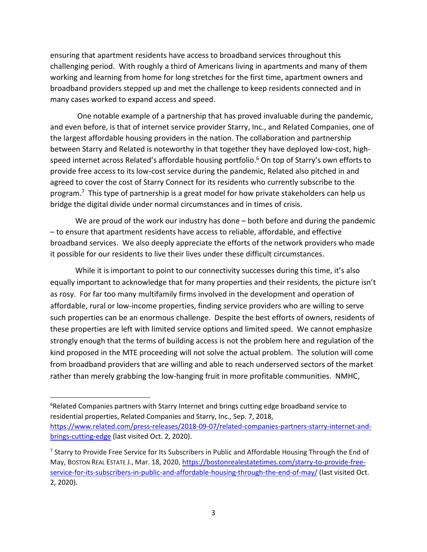ensuring that apartment residents have access to broadband services throughout this challenging period. With roughly a third of Americans living in apartments and many of them working and learning from home for long stretches for the first time, apartment owners and broadband providers stepped up and met the challenge to keep residents connected and in many cases worked to expand access and speed.

One notable example of a partnership that has proved invaluable during the pandemic, and even before, is that of internet service provider Starry, Inc., and Related Companies, one of the largest affordable housing providers in the nation. The collaboration and partnership between Starry and Related is noteworthy in that together they have deployed low-cost, highspeed internet across Related's affordable housing portfolio. <sup>6</sup> On top of Starry's own efforts to provide free access to its low-cost service during the pandemic, Related also pitched in and agreed to cover the cost of Starry Connect for its residents who currently subscribe to the program.<sup>7</sup> This type of partnership is a great model for how private stakeholders can help us bridge the digital divide under normal circumstances and in times of crisis.

We are proud of the work our industry has done – both before and during the pandemic – to ensure that apartment residents have access to reliable, affordable, and effective broadband services. We also deeply appreciate the efforts of the network providers who made it possible for our residents to live their lives under these difficult circumstances.

While it is important to point to our connectivity successes during this time, it's also equally important to acknowledge that for many properties and their residents, the picture isn't as rosy. For far too many multifamily firms involved in the development and operation of affordable, rural or low-income properties, finding service providers who are willing to serve such properties can be an enormous challenge. Despite the best efforts of owners, residents of these properties are left with limited service options and limited speed. We cannot emphasize strongly enough that the terms of building access is not the problem here and regulation of the kind proposed in the MTE proceeding will not solve the actual problem. The solution will come from broadband providers that are willing and able to reach underserved sectors of the market rather than merely grabbing the low-hanging fruit in more profitable communities. NMHC,

<sup>&</sup>lt;sup>6</sup>Related Companies partners with Starry Internet and brings cutting edge broadband service to residential properties, Related Companies and Starry, Inc., Sep. 7, 2018, [https://www.related.com/press-releases/2018-09-07/related-companies-partners-starry-internet-and](https://www.related.com/press-releases/2018-09-07/related-companies-partners-starry-internet-and-brings-cutting-edge)[brings-cutting-edge](https://www.related.com/press-releases/2018-09-07/related-companies-partners-starry-internet-and-brings-cutting-edge) (last visited Oct. 2, 2020).

<sup>&</sup>lt;sup>7</sup> Starry to Provide Free Service for Its Subscribers in Public and Affordable Housing Through the End of May, BOSTON REAL ESTATE J., Mar. 18, 2020, [https://bostonrealestatetimes.com/starry-to-provide-free](https://bostonrealestatetimes.com/starry-to-provide-free-service-for-its-subscribers-in-public-and-affordable-housing-through-the-end-of-may/)[service-for-its-subscribers-in-public-and-affordable-housing-through-the-end-of-may/](https://bostonrealestatetimes.com/starry-to-provide-free-service-for-its-subscribers-in-public-and-affordable-housing-through-the-end-of-may/) (last visited Oct. 2, 2020).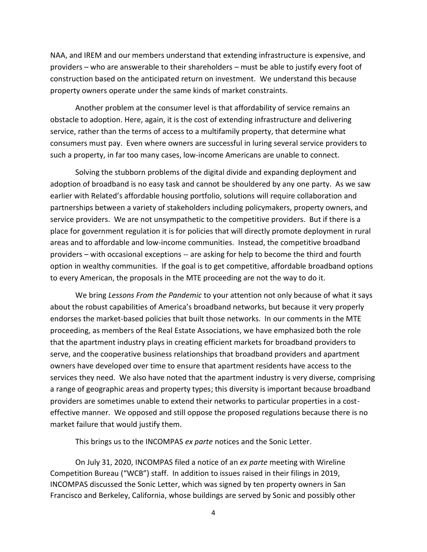NAA, and IREM and our members understand that extending infrastructure is expensive, and providers – who are answerable to their shareholders – must be able to justify every foot of construction based on the anticipated return on investment. We understand this because property owners operate under the same kinds of market constraints.

Another problem at the consumer level is that affordability of service remains an obstacle to adoption. Here, again, it is the cost of extending infrastructure and delivering service, rather than the terms of access to a multifamily property, that determine what consumers must pay. Even where owners are successful in luring several service providers to such a property, in far too many cases, low-income Americans are unable to connect.

Solving the stubborn problems of the digital divide and expanding deployment and adoption of broadband is no easy task and cannot be shouldered by any one party. As we saw earlier with Related's affordable housing portfolio, solutions will require collaboration and partnerships between a variety of stakeholders including policymakers, property owners, and service providers. We are not unsympathetic to the competitive providers. But if there is a place for government regulation it is for policies that will directly promote deployment in rural areas and to affordable and low-income communities. Instead, the competitive broadband providers – with occasional exceptions -- are asking for help to become the third and fourth option in wealthy communities. If the goal is to get competitive, affordable broadband options to every American, the proposals in the MTE proceeding are not the way to do it.

We bring *Lessons From the Pandemic* to your attention not only because of what it says about the robust capabilities of America's broadband networks, but because it very properly endorses the market-based policies that built those networks. In our comments in the MTE proceeding, as members of the Real Estate Associations, we have emphasized both the role that the apartment industry plays in creating efficient markets for broadband providers to serve, and the cooperative business relationships that broadband providers and apartment owners have developed over time to ensure that apartment residents have access to the services they need. We also have noted that the apartment industry is very diverse, comprising a range of geographic areas and property types; this diversity is important because broadband providers are sometimes unable to extend their networks to particular properties in a costeffective manner. We opposed and still oppose the proposed regulations because there is no market failure that would justify them.

This brings us to the INCOMPAS *ex parte* notices and the Sonic Letter.

On July 31, 2020, INCOMPAS filed a notice of an *ex parte* meeting with Wireline Competition Bureau ("WCB") staff. In addition to issues raised in their filings in 2019, INCOMPAS discussed the Sonic Letter, which was signed by ten property owners in San Francisco and Berkeley, California, whose buildings are served by Sonic and possibly other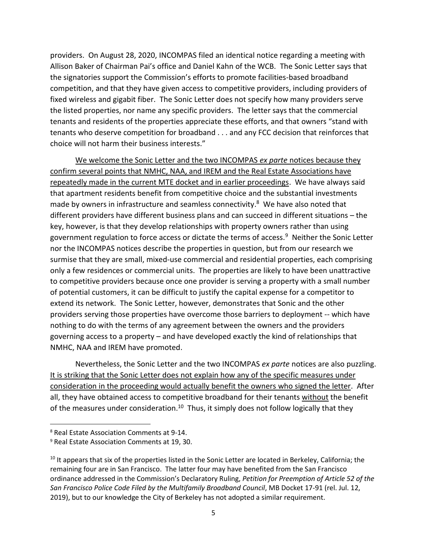providers. On August 28, 2020, INCOMPAS filed an identical notice regarding a meeting with Allison Baker of Chairman Pai's office and Daniel Kahn of the WCB. The Sonic Letter says that the signatories support the Commission's efforts to promote facilities-based broadband competition, and that they have given access to competitive providers, including providers of fixed wireless and gigabit fiber. The Sonic Letter does not specify how many providers serve the listed properties, nor name any specific providers. The letter says that the commercial tenants and residents of the properties appreciate these efforts, and that owners "stand with tenants who deserve competition for broadband . . . and any FCC decision that reinforces that choice will not harm their business interests."

We welcome the Sonic Letter and the two INCOMPAS *ex parte* notices because they confirm several points that NMHC, NAA, and IREM and the Real Estate Associations have repeatedly made in the current MTE docket and in earlier proceedings. We have always said that apartment residents benefit from competitive choice and the substantial investments made by owners in infrastructure and seamless connectivity. 8 We have also noted that different providers have different business plans and can succeed in different situations – the key, however, is that they develop relationships with property owners rather than using government regulation to force access or dictate the terms of access.<sup>9</sup> Neither the Sonic Letter nor the INCOMPAS notices describe the properties in question, but from our research we surmise that they are small, mixed-use commercial and residential properties, each comprising only a few residences or commercial units. The properties are likely to have been unattractive to competitive providers because once one provider is serving a property with a small number of potential customers, it can be difficult to justify the capital expense for a competitor to extend its network. The Sonic Letter, however, demonstrates that Sonic and the other providers serving those properties have overcome those barriers to deployment -- which have nothing to do with the terms of any agreement between the owners and the providers governing access to a property – and have developed exactly the kind of relationships that NMHC, NAA and IREM have promoted.

Nevertheless, the Sonic Letter and the two INCOMPAS *ex parte* notices are also puzzling. It is striking that the Sonic Letter does not explain how any of the specific measures under consideration in the proceeding would actually benefit the owners who signed the letter. After all, they have obtained access to competitive broadband for their tenants without the benefit of the measures under consideration.<sup>10</sup> Thus, it simply does not follow logically that they

<sup>8</sup> Real Estate Association Comments at 9-14.

<sup>9</sup> Real Estate Association Comments at 19, 30.

<sup>&</sup>lt;sup>10</sup> It appears that six of the properties listed in the Sonic Letter are located in Berkeley, California; the remaining four are in San Francisco. The latter four may have benefited from the San Francisco ordinance addressed in the Commission's Declaratory Ruling, *Petition for Preemption of Article 52 of the San Francisco Police Code Filed by the Multifamily Broadband Council*, MB Docket 17-91 (rel. Jul. 12, 2019), but to our knowledge the City of Berkeley has not adopted a similar requirement.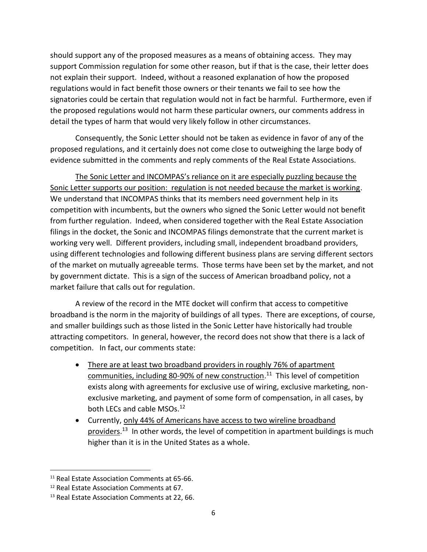should support any of the proposed measures as a means of obtaining access. They may support Commission regulation for some other reason, but if that is the case, their letter does not explain their support. Indeed, without a reasoned explanation of how the proposed regulations would in fact benefit those owners or their tenants we fail to see how the signatories could be certain that regulation would not in fact be harmful. Furthermore, even if the proposed regulations would not harm these particular owners, our comments address in detail the types of harm that would very likely follow in other circumstances.

Consequently, the Sonic Letter should not be taken as evidence in favor of any of the proposed regulations, and it certainly does not come close to outweighing the large body of evidence submitted in the comments and reply comments of the Real Estate Associations.

The Sonic Letter and INCOMPAS's reliance on it are especially puzzling because the Sonic Letter supports our position: regulation is not needed because the market is working. We understand that INCOMPAS thinks that its members need government help in its competition with incumbents, but the owners who signed the Sonic Letter would not benefit from further regulation. Indeed, when considered together with the Real Estate Association filings in the docket, the Sonic and INCOMPAS filings demonstrate that the current market is working very well. Different providers, including small, independent broadband providers, using different technologies and following different business plans are serving different sectors of the market on mutually agreeable terms. Those terms have been set by the market, and not by government dictate. This is a sign of the success of American broadband policy, not a market failure that calls out for regulation.

A review of the record in the MTE docket will confirm that access to competitive broadband is the norm in the majority of buildings of all types. There are exceptions, of course, and smaller buildings such as those listed in the Sonic Letter have historically had trouble attracting competitors. In general, however, the record does not show that there is a lack of competition. In fact, our comments state:

- There are at least two broadband providers in roughly 76% of apartment communities, including 80-90% of new construction.<sup>11</sup> This level of competition exists along with agreements for exclusive use of wiring, exclusive marketing, nonexclusive marketing, and payment of some form of compensation, in all cases, by both LECs and cable MSOs.<sup>12</sup>
- Currently, only 44% of Americans have access to two wireline broadband providers.<sup>13</sup> In other words, the level of competition in apartment buildings is much higher than it is in the United States as a whole.

<sup>&</sup>lt;sup>11</sup> Real Estate Association Comments at 65-66.

<sup>12</sup> Real Estate Association Comments at 67.

<sup>13</sup> Real Estate Association Comments at 22, 66.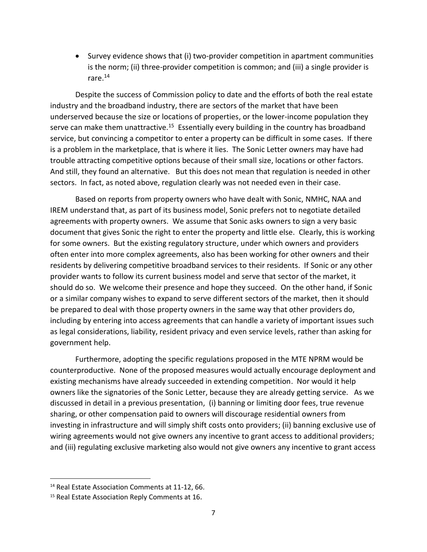• Survey evidence shows that (i) two-provider competition in apartment communities is the norm; (ii) three-provider competition is common; and (iii) a single provider is rare. $^{14}$ 

Despite the success of Commission policy to date and the efforts of both the real estate industry and the broadband industry, there are sectors of the market that have been underserved because the size or locations of properties, or the lower-income population they serve can make them unattractive.<sup>15</sup> Essentially every building in the country has broadband service, but convincing a competitor to enter a property can be difficult in some cases. If there is a problem in the marketplace, that is where it lies. The Sonic Letter owners may have had trouble attracting competitive options because of their small size, locations or other factors. And still, they found an alternative. But this does not mean that regulation is needed in other sectors. In fact, as noted above, regulation clearly was not needed even in their case.

Based on reports from property owners who have dealt with Sonic, NMHC, NAA and IREM understand that, as part of its business model, Sonic prefers not to negotiate detailed agreements with property owners. We assume that Sonic asks owners to sign a very basic document that gives Sonic the right to enter the property and little else. Clearly, this is working for some owners. But the existing regulatory structure, under which owners and providers often enter into more complex agreements, also has been working for other owners and their residents by delivering competitive broadband services to their residents. If Sonic or any other provider wants to follow its current business model and serve that sector of the market, it should do so. We welcome their presence and hope they succeed. On the other hand, if Sonic or a similar company wishes to expand to serve different sectors of the market, then it should be prepared to deal with those property owners in the same way that other providers do, including by entering into access agreements that can handle a variety of important issues such as legal considerations, liability, resident privacy and even service levels, rather than asking for government help.

Furthermore, adopting the specific regulations proposed in the MTE NPRM would be counterproductive. None of the proposed measures would actually encourage deployment and existing mechanisms have already succeeded in extending competition. Nor would it help owners like the signatories of the Sonic Letter, because they are already getting service. As we discussed in detail in a previous presentation, (i) banning or limiting door fees, true revenue sharing, or other compensation paid to owners will discourage residential owners from investing in infrastructure and will simply shift costs onto providers; (ii) banning exclusive use of wiring agreements would not give owners any incentive to grant access to additional providers; and (iii) regulating exclusive marketing also would not give owners any incentive to grant access

<sup>&</sup>lt;sup>14</sup> Real Estate Association Comments at 11-12, 66.

<sup>&</sup>lt;sup>15</sup> Real Estate Association Reply Comments at 16.